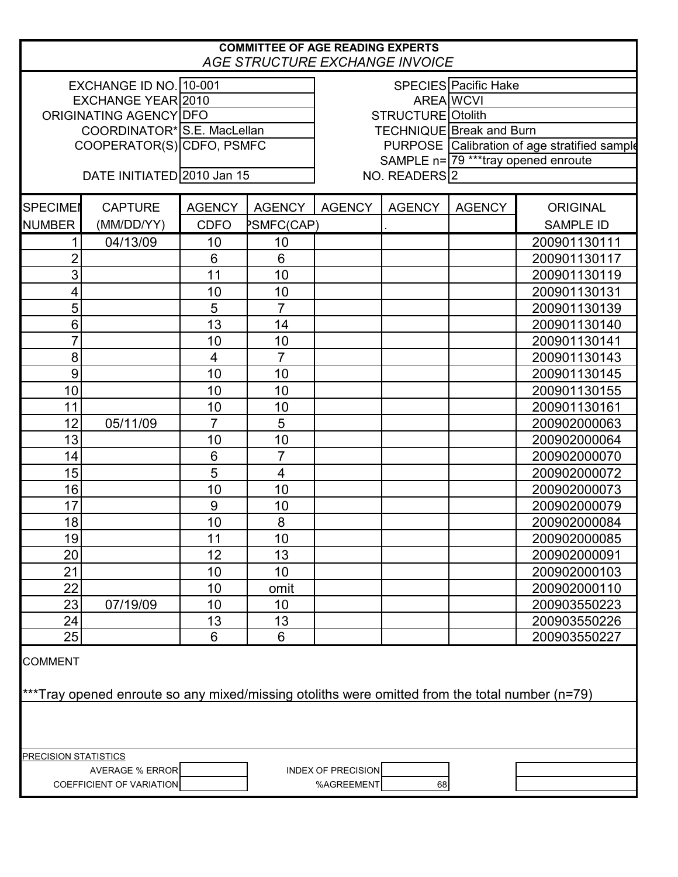| <b>COMMITTEE OF AGE READING EXPERTS</b><br><b>AGE STRUCTURE EXCHANGE INVOICE</b>                                 |                            |                         |                                      |                                              |               |                      |                  |  |
|------------------------------------------------------------------------------------------------------------------|----------------------------|-------------------------|--------------------------------------|----------------------------------------------|---------------|----------------------|------------------|--|
|                                                                                                                  | EXCHANGE ID NO. 10-001     |                         |                                      |                                              |               | SPECIES Pacific Hake |                  |  |
| EXCHANGE YEAR 2010                                                                                               |                            |                         |                                      | <b>AREA WCVI</b>                             |               |                      |                  |  |
| ORIGINATING AGENCY DFO                                                                                           |                            |                         |                                      | STRUCTURE Otolith                            |               |                      |                  |  |
| COORDINATOR* S.E. MacLellan                                                                                      |                            |                         |                                      | <b>TECHNIQUE Break and Burn</b>              |               |                      |                  |  |
|                                                                                                                  | COOPERATOR(S) CDFO, PSMFC  |                         |                                      | PURPOSE Calibration of age stratified sample |               |                      |                  |  |
|                                                                                                                  |                            |                         | SAMPLE n= 79 *** tray opened enroute |                                              |               |                      |                  |  |
|                                                                                                                  | DATE INITIATED 2010 Jan 15 |                         | NO. READERS 2                        |                                              |               |                      |                  |  |
| <b>SPECIME</b>                                                                                                   | <b>CAPTURE</b>             | <b>AGENCY</b>           | <b>AGENCY</b>                        | <b>AGENCY</b>                                | <b>AGENCY</b> | <b>AGENCY</b>        | <b>ORIGINAL</b>  |  |
| <b>NUMBER</b>                                                                                                    | (MM/DD/YY)                 | <b>CDFO</b>             | <b>PSMFC(CAP)</b>                    |                                              |               |                      | <b>SAMPLE ID</b> |  |
|                                                                                                                  | 04/13/09                   | 10                      | 10                                   |                                              |               |                      | 200901130111     |  |
| $\overline{2}$                                                                                                   |                            | 6                       | $6\phantom{1}6$                      |                                              |               |                      | 200901130117     |  |
| 3                                                                                                                |                            | 11                      | 10                                   |                                              |               |                      | 200901130119     |  |
| 4                                                                                                                |                            | 10                      | 10                                   |                                              |               |                      | 200901130131     |  |
| 5                                                                                                                |                            | 5                       | $\overline{7}$                       |                                              |               |                      | 200901130139     |  |
| 6                                                                                                                |                            | 13                      | 14                                   |                                              |               |                      | 200901130140     |  |
| 7                                                                                                                |                            | 10                      | 10                                   |                                              |               |                      | 200901130141     |  |
| 8                                                                                                                |                            | $\overline{\mathbf{4}}$ | $\overline{7}$                       |                                              |               |                      | 200901130143     |  |
| 9                                                                                                                |                            | 10                      | 10                                   |                                              |               |                      | 200901130145     |  |
| 10                                                                                                               |                            | 10                      | 10                                   |                                              |               |                      | 200901130155     |  |
| 11                                                                                                               |                            | 10                      | 10                                   |                                              |               |                      | 200901130161     |  |
| 12                                                                                                               | 05/11/09                   | $\overline{7}$          | 5                                    |                                              |               |                      | 200902000063     |  |
| 13                                                                                                               |                            | 10                      | 10                                   |                                              |               |                      | 200902000064     |  |
| 14                                                                                                               |                            | 6                       | $\overline{7}$                       |                                              |               |                      | 200902000070     |  |
| 15                                                                                                               |                            | 5                       | $\overline{\mathbf{4}}$              |                                              |               |                      | 200902000072     |  |
| 16                                                                                                               |                            | 10                      | 10                                   |                                              |               |                      | 200902000073     |  |
| 17                                                                                                               |                            | 9                       | 10                                   |                                              |               |                      | 200902000079     |  |
| 18                                                                                                               |                            | 10                      | 8                                    |                                              |               |                      | 200902000084     |  |
| 19                                                                                                               |                            | 11                      | 10                                   |                                              |               |                      | 200902000085     |  |
| 20 <sup>°</sup>                                                                                                  |                            | 12                      | 13                                   |                                              |               |                      | 200902000091     |  |
| 21                                                                                                               |                            | 10                      | 10                                   |                                              |               |                      | 200902000103     |  |
| 22                                                                                                               |                            | 10                      | omit                                 |                                              |               |                      | 200902000110     |  |
| 23                                                                                                               | 07/19/09                   | 10                      | 10                                   |                                              |               |                      | 200903550223     |  |
| 24                                                                                                               |                            | 13                      | 13                                   |                                              |               |                      | 200903550226     |  |
| 25                                                                                                               |                            | 6                       | 6                                    |                                              |               |                      | 200903550227     |  |
| <b>COMMENT</b><br>***Tray opened enroute so any mixed/missing otoliths were omitted from the total number (n=79) |                            |                         |                                      |                                              |               |                      |                  |  |
|                                                                                                                  |                            |                         |                                      |                                              |               |                      |                  |  |
| <b>PRECISION STATISTICS</b>                                                                                      |                            |                         |                                      |                                              |               |                      |                  |  |
|                                                                                                                  | <b>AVERAGE % ERROR</b>     |                         |                                      | <b>INDEX OF PRECISION</b>                    |               |                      |                  |  |
| %AGREEMENT<br>68<br>COEFFICIENT OF VARIATION                                                                     |                            |                         |                                      |                                              |               |                      |                  |  |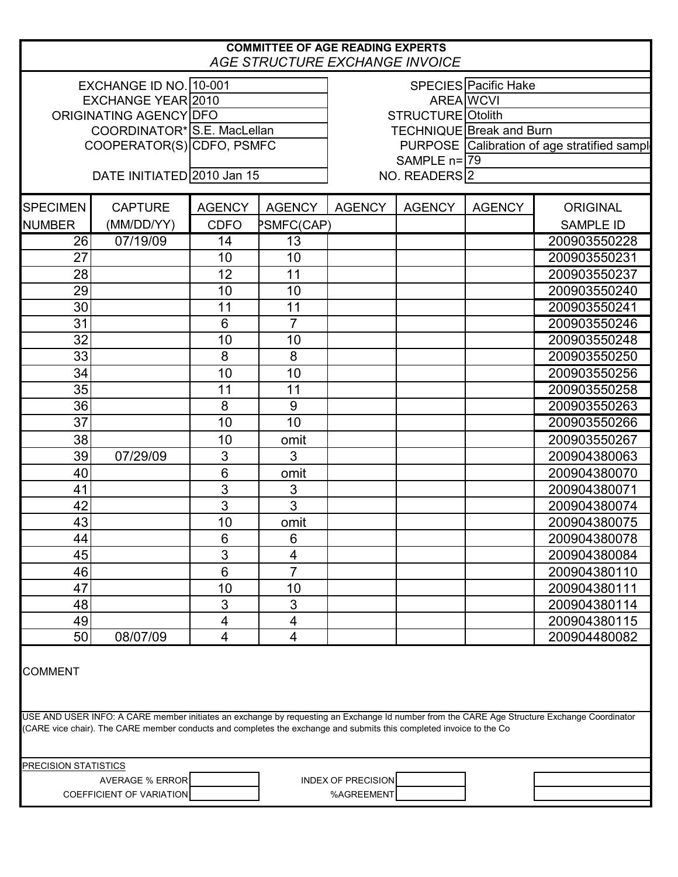| <b>COMMITTEE OF AGE READING EXPERTS</b><br>AGE STRUCTURE EXCHANGE INVOICE                                                                                                                                                                                          |                                 |                |                             |                                              |               |               |                  |  |
|--------------------------------------------------------------------------------------------------------------------------------------------------------------------------------------------------------------------------------------------------------------------|---------------------------------|----------------|-----------------------------|----------------------------------------------|---------------|---------------|------------------|--|
|                                                                                                                                                                                                                                                                    | EXCHANGE ID NO. 10-001          |                | <b>SPECIES</b> Pacific Hake |                                              |               |               |                  |  |
|                                                                                                                                                                                                                                                                    | EXCHANGE YEAR 2010              |                |                             | <b>AREA WCVI</b>                             |               |               |                  |  |
|                                                                                                                                                                                                                                                                    | ORIGINATING AGENCY DFO          |                |                             | STRUCTURE Otolith                            |               |               |                  |  |
|                                                                                                                                                                                                                                                                    | COORDINATOR* S.E. MacLellan     |                |                             | <b>TECHNIQUE Break and Burn</b>              |               |               |                  |  |
|                                                                                                                                                                                                                                                                    | COOPERATOR(S) CDFO, PSMFC       |                |                             | PURPOSE Calibration of age stratified sample |               |               |                  |  |
|                                                                                                                                                                                                                                                                    |                                 |                |                             |                                              | SAMPLE n=179  |               |                  |  |
| DATE INITIATED 2010 Jan 15<br>NO. READERS <sup>2</sup>                                                                                                                                                                                                             |                                 |                |                             |                                              |               |               |                  |  |
| <b>SPECIMEN</b>                                                                                                                                                                                                                                                    | <b>CAPTURE</b>                  | <b>AGENCY</b>  | <b>AGENCY</b>               | <b>AGENCY</b>                                | <b>AGENCY</b> | <b>AGENCY</b> | <b>ORIGINAL</b>  |  |
| <b>NUMBER</b>                                                                                                                                                                                                                                                      | (MM/DD/YY)                      | <b>CDFO</b>    | PSMFC(CAP)                  |                                              |               |               | <b>SAMPLE ID</b> |  |
| $\overline{26}$                                                                                                                                                                                                                                                    | 07/19/09                        | 14             | $\overline{13}$             |                                              |               |               | 200903550228     |  |
| 27                                                                                                                                                                                                                                                                 |                                 | 10             | 10                          |                                              |               |               | 200903550231     |  |
| 28                                                                                                                                                                                                                                                                 |                                 | 12             | 11                          |                                              |               |               | 200903550237     |  |
| 29                                                                                                                                                                                                                                                                 |                                 | 10             | 10                          |                                              |               |               | 200903550240     |  |
| 30                                                                                                                                                                                                                                                                 |                                 | 11             | 11                          |                                              |               |               | 200903550241     |  |
| 31                                                                                                                                                                                                                                                                 |                                 | 6              | $\overline{7}$              |                                              |               |               | 200903550246     |  |
| 32                                                                                                                                                                                                                                                                 |                                 | 10             | 10                          |                                              |               |               | 200903550248     |  |
| 33                                                                                                                                                                                                                                                                 |                                 | 8              | 8                           |                                              |               |               | 200903550250     |  |
| 34                                                                                                                                                                                                                                                                 |                                 | 10             | 10                          |                                              |               |               | 200903550256     |  |
| 35                                                                                                                                                                                                                                                                 |                                 | 11             | 11                          |                                              |               |               | 200903550258     |  |
| 36                                                                                                                                                                                                                                                                 |                                 | 8              | 9                           |                                              |               |               | 200903550263     |  |
| 37                                                                                                                                                                                                                                                                 |                                 | 10             | 10                          |                                              |               |               | 200903550266     |  |
| 38                                                                                                                                                                                                                                                                 |                                 | 10             | omit                        |                                              |               |               | 200903550267     |  |
| 39                                                                                                                                                                                                                                                                 | 07/29/09                        | 3              | 3                           |                                              |               |               | 200904380063     |  |
| 40                                                                                                                                                                                                                                                                 |                                 | 6              | omit                        |                                              |               |               | 200904380070     |  |
| 41                                                                                                                                                                                                                                                                 |                                 | 3              | $\ensuremath{\mathsf{3}}$   |                                              |               |               | 200904380071     |  |
| 42                                                                                                                                                                                                                                                                 |                                 | $\overline{3}$ | 3                           |                                              |               |               | 200904380074     |  |
| 43                                                                                                                                                                                                                                                                 |                                 | 10             | omit                        |                                              |               |               | 200904380075     |  |
| 44                                                                                                                                                                                                                                                                 |                                 | 6              | 6                           |                                              |               |               | 200904380078     |  |
| 45                                                                                                                                                                                                                                                                 |                                 | 3              | 4                           |                                              |               |               | 200904380084     |  |
| 46                                                                                                                                                                                                                                                                 |                                 | 6              | $\overline{7}$              |                                              |               |               | 200904380110     |  |
| 47                                                                                                                                                                                                                                                                 |                                 |                |                             |                                              |               |               |                  |  |
|                                                                                                                                                                                                                                                                    |                                 | 10             | 10                          |                                              |               |               | 200904380111     |  |
| 48                                                                                                                                                                                                                                                                 |                                 | 3              | 3                           |                                              |               |               | 200904380114     |  |
| 49                                                                                                                                                                                                                                                                 |                                 | 4              | 4                           |                                              |               |               | 200904380115     |  |
| 50<br>08/07/09<br>$\overline{\mathbf{4}}$<br>200904480082<br>4<br><b>COMMENT</b>                                                                                                                                                                                   |                                 |                |                             |                                              |               |               |                  |  |
|                                                                                                                                                                                                                                                                    |                                 |                |                             |                                              |               |               |                  |  |
| USE AND USER INFO: A CARE member initiates an exchange by requesting an Exchange Id number from the CARE Age Structure Exchange Coordinator<br>(CARE vice chair). The CARE member conducts and completes the exchange and submits this completed invoice to the Co |                                 |                |                             |                                              |               |               |                  |  |
| <b>PRECISION STATISTICS</b>                                                                                                                                                                                                                                        |                                 |                |                             |                                              |               |               |                  |  |
|                                                                                                                                                                                                                                                                    | <b>AVERAGE % ERROR</b>          |                |                             | <b>INDEX OF PRECISION</b>                    |               |               |                  |  |
|                                                                                                                                                                                                                                                                    | <b>COEFFICIENT OF VARIATION</b> |                |                             | %AGREEMENT                                   |               |               |                  |  |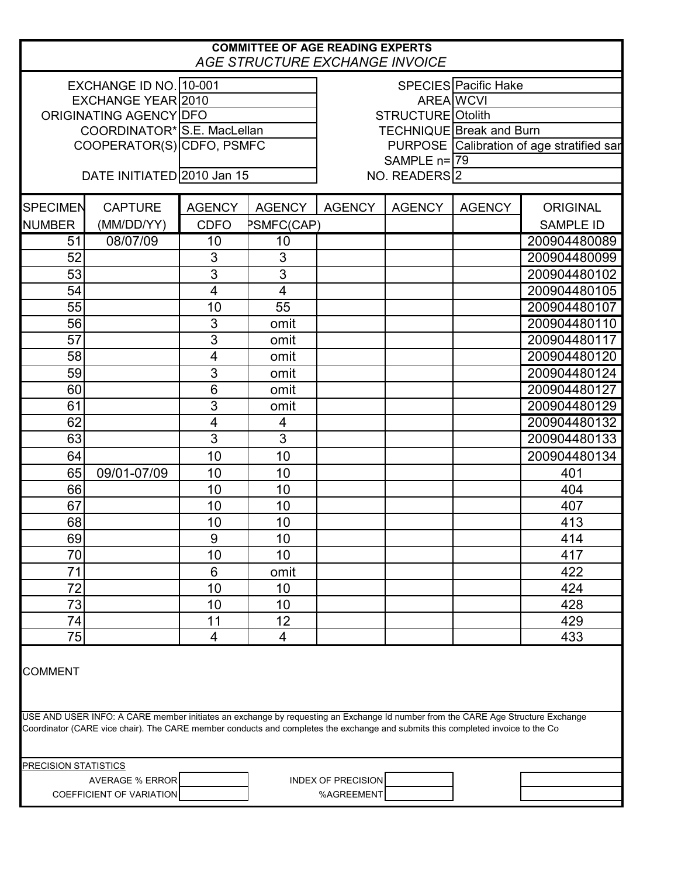## **COMMITTEE OF AGE READING EXPERTS** *AGE STRUCTURE EXCHANGE INVOICE*

| AGE STRUCTURE EXCITATIVE INVOICE                                                                                                                                                                                                                                                     |                             |                         |                         |                                           |               |                  |                  |  |
|--------------------------------------------------------------------------------------------------------------------------------------------------------------------------------------------------------------------------------------------------------------------------------------|-----------------------------|-------------------------|-------------------------|-------------------------------------------|---------------|------------------|------------------|--|
|                                                                                                                                                                                                                                                                                      | EXCHANGE ID NO. 10-001      |                         |                         | SPECIES Pacific Hake                      |               |                  |                  |  |
| <b>EXCHANGE YEAR 2010</b>                                                                                                                                                                                                                                                            |                             |                         |                         |                                           |               | <b>AREA WCVI</b> |                  |  |
| ORIGINATING AGENCY DFO                                                                                                                                                                                                                                                               |                             |                         |                         | STRUCTURE Otolith                         |               |                  |                  |  |
|                                                                                                                                                                                                                                                                                      | COORDINATOR* S.E. MacLellan |                         |                         | <b>TECHNIQUE Break and Burn</b>           |               |                  |                  |  |
|                                                                                                                                                                                                                                                                                      | COOPERATOR(S) CDFO, PSMFC   |                         |                         | PURPOSE Calibration of age stratified sar |               |                  |                  |  |
|                                                                                                                                                                                                                                                                                      |                             |                         |                         | SAMPLE $n = 79$                           |               |                  |                  |  |
| DATE INITIATED 2010 Jan 15                                                                                                                                                                                                                                                           |                             |                         |                         | NO. READERS 2                             |               |                  |                  |  |
|                                                                                                                                                                                                                                                                                      |                             |                         |                         |                                           |               |                  |                  |  |
| <b>SPECIMEN</b>                                                                                                                                                                                                                                                                      | <b>CAPTURE</b>              | <b>AGENCY</b>           | <b>AGENCY</b>           | <b>AGENCY</b>                             | <b>AGENCY</b> | <b>AGENCY</b>    | <b>ORIGINAL</b>  |  |
| <b>NUMBER</b>                                                                                                                                                                                                                                                                        | (MM/DD/YY)                  | <b>CDFO</b>             | <b>PSMFC(CAP)</b>       |                                           |               |                  | <b>SAMPLE ID</b> |  |
| 51                                                                                                                                                                                                                                                                                   | 08/07/09                    | 10                      | 10                      |                                           |               |                  | 200904480089     |  |
| 52                                                                                                                                                                                                                                                                                   |                             | 3                       | 3                       |                                           |               |                  | 200904480099     |  |
| 53                                                                                                                                                                                                                                                                                   |                             | 3                       | $\overline{3}$          |                                           |               |                  | 200904480102     |  |
| 54                                                                                                                                                                                                                                                                                   |                             | $\overline{\mathbf{4}}$ | $\overline{4}$          |                                           |               |                  | 200904480105     |  |
| 55                                                                                                                                                                                                                                                                                   |                             | 10                      | 55                      |                                           |               |                  | 200904480107     |  |
| 56                                                                                                                                                                                                                                                                                   |                             | 3                       | omit                    |                                           |               |                  | 200904480110     |  |
| 57                                                                                                                                                                                                                                                                                   |                             | 3                       | omit                    |                                           |               |                  | 200904480117     |  |
| 58                                                                                                                                                                                                                                                                                   |                             | $\overline{\mathbf{4}}$ | omit                    |                                           |               |                  | 200904480120     |  |
| 59                                                                                                                                                                                                                                                                                   |                             | 3                       | omit                    |                                           |               |                  | 200904480124     |  |
| 60                                                                                                                                                                                                                                                                                   |                             | 6                       | omit                    |                                           |               |                  | 200904480127     |  |
| 61                                                                                                                                                                                                                                                                                   |                             | 3                       | omit                    |                                           |               |                  | 200904480129     |  |
| 62                                                                                                                                                                                                                                                                                   |                             | $\overline{\mathbf{4}}$ | $\overline{\mathbf{4}}$ |                                           |               |                  | 200904480132     |  |
| 63                                                                                                                                                                                                                                                                                   |                             | 3                       | $\overline{3}$          |                                           |               |                  | 200904480133     |  |
| 64                                                                                                                                                                                                                                                                                   |                             | 10                      | 10                      |                                           |               |                  | 200904480134     |  |
| 65                                                                                                                                                                                                                                                                                   | 09/01-07/09                 | 10                      | 10                      |                                           |               |                  | 401              |  |
| 66                                                                                                                                                                                                                                                                                   |                             | 10                      | 10                      |                                           |               |                  | 404              |  |
| 67                                                                                                                                                                                                                                                                                   |                             | 10                      | 10                      |                                           |               |                  | 407              |  |
| 68                                                                                                                                                                                                                                                                                   |                             | 10                      | 10                      |                                           |               |                  | 413              |  |
| 69                                                                                                                                                                                                                                                                                   |                             | 9                       | 10                      |                                           |               |                  | 414              |  |
| 70                                                                                                                                                                                                                                                                                   |                             | 10                      | 10                      |                                           |               |                  | 417              |  |
| 71                                                                                                                                                                                                                                                                                   |                             | 6                       | omit                    |                                           |               |                  | 422              |  |
| 72                                                                                                                                                                                                                                                                                   |                             | 10                      | 10                      |                                           |               |                  | 424              |  |
| 73                                                                                                                                                                                                                                                                                   |                             | 10                      | 10                      |                                           |               |                  | 428              |  |
| 74                                                                                                                                                                                                                                                                                   |                             | 11                      | 12                      |                                           |               |                  | 429              |  |
| 75                                                                                                                                                                                                                                                                                   |                             | $\overline{4}$          | 4                       |                                           |               |                  | 433              |  |
| <b>COMMENT</b><br>USE AND USER INFO: A CARE member initiates an exchange by requesting an Exchange Id number from the CARE Age Structure Exchange<br>Coordinator (CARE vice chair). The CARE member conducts and completes the exchange and submits this completed invoice to the Co |                             |                         |                         |                                           |               |                  |                  |  |
|                                                                                                                                                                                                                                                                                      |                             |                         |                         |                                           |               |                  |                  |  |
| <b>PRECISION STATISTICS</b>                                                                                                                                                                                                                                                          |                             |                         |                         |                                           |               |                  |                  |  |
|                                                                                                                                                                                                                                                                                      | <b>AVERAGE % ERROR</b>      |                         |                         | <b>INDEX OF PRECISION</b>                 |               |                  |                  |  |
| COEFFICIENT OF VARIATION<br>%AGREEMENT                                                                                                                                                                                                                                               |                             |                         |                         |                                           |               |                  |                  |  |